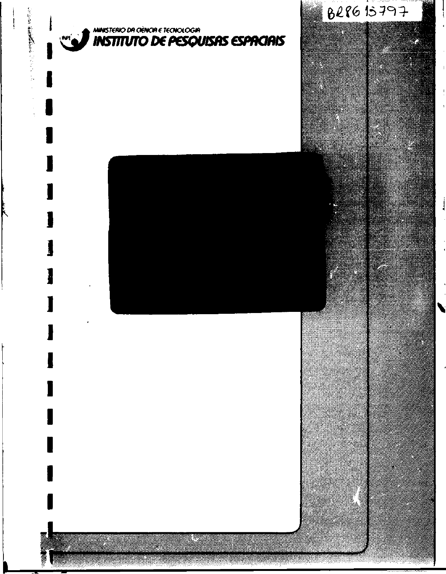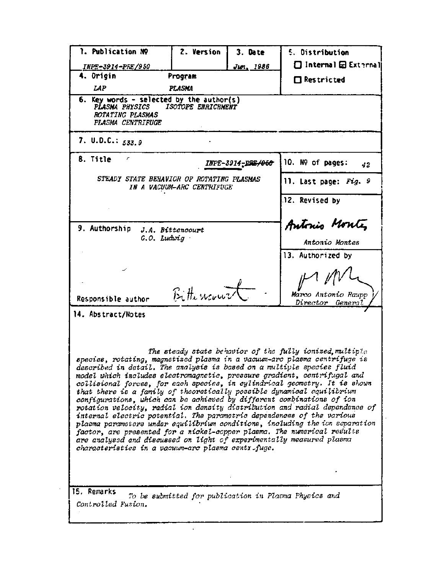| LAP                                                                                                                                                                                                                                                                                                                                                                                                                                                                                                                                                                                                                                                                                                                                                                                                                                                                                                                  | Program            |                   | $\Box$ Restricted                                        |
|----------------------------------------------------------------------------------------------------------------------------------------------------------------------------------------------------------------------------------------------------------------------------------------------------------------------------------------------------------------------------------------------------------------------------------------------------------------------------------------------------------------------------------------------------------------------------------------------------------------------------------------------------------------------------------------------------------------------------------------------------------------------------------------------------------------------------------------------------------------------------------------------------------------------|--------------------|-------------------|----------------------------------------------------------|
|                                                                                                                                                                                                                                                                                                                                                                                                                                                                                                                                                                                                                                                                                                                                                                                                                                                                                                                      | PLASMA             |                   |                                                          |
| 6. Key words - selected by the author(s)<br>PLASMA PHYSICS<br>ROTATING PLASMAS<br>PLASMA CENTRIFUGE                                                                                                                                                                                                                                                                                                                                                                                                                                                                                                                                                                                                                                                                                                                                                                                                                  | ISOTOPE ENRICHMENT |                   |                                                          |
| 7. U.D.C.: $533.9$                                                                                                                                                                                                                                                                                                                                                                                                                                                                                                                                                                                                                                                                                                                                                                                                                                                                                                   |                    |                   |                                                          |
| 8. Title<br>r                                                                                                                                                                                                                                                                                                                                                                                                                                                                                                                                                                                                                                                                                                                                                                                                                                                                                                        |                    | INPE-3914-PRE/060 | 10. Nº of pages:<br>42                                   |
| STEADY STATE BEHAVIOR OF ROTATING PLASMAS<br>IN A VACUUM-ARC CENTRIFUGE                                                                                                                                                                                                                                                                                                                                                                                                                                                                                                                                                                                                                                                                                                                                                                                                                                              |                    |                   | 11. Last page: Fig. 9                                    |
|                                                                                                                                                                                                                                                                                                                                                                                                                                                                                                                                                                                                                                                                                                                                                                                                                                                                                                                      |                    |                   | <b>J2. Revised by</b>                                    |
| 9. Authorship                                                                                                                                                                                                                                                                                                                                                                                                                                                                                                                                                                                                                                                                                                                                                                                                                                                                                                        |                    | Antonio Montes    |                                                          |
| J.A. Bittencourt<br>$G.O.$ Ludwig                                                                                                                                                                                                                                                                                                                                                                                                                                                                                                                                                                                                                                                                                                                                                                                                                                                                                    |                    | Antonio Montes    |                                                          |
|                                                                                                                                                                                                                                                                                                                                                                                                                                                                                                                                                                                                                                                                                                                                                                                                                                                                                                                      |                    |                   | 13. Authorized by                                        |
|                                                                                                                                                                                                                                                                                                                                                                                                                                                                                                                                                                                                                                                                                                                                                                                                                                                                                                                      |                    |                   |                                                          |
|                                                                                                                                                                                                                                                                                                                                                                                                                                                                                                                                                                                                                                                                                                                                                                                                                                                                                                                      |                    |                   |                                                          |
|                                                                                                                                                                                                                                                                                                                                                                                                                                                                                                                                                                                                                                                                                                                                                                                                                                                                                                                      | Bittercourt        |                   | Marco Antonio Raupp                                      |
| Responsible author                                                                                                                                                                                                                                                                                                                                                                                                                                                                                                                                                                                                                                                                                                                                                                                                                                                                                                   |                    |                   | Director General                                         |
| 14. Abstract/Notes                                                                                                                                                                                                                                                                                                                                                                                                                                                                                                                                                                                                                                                                                                                                                                                                                                                                                                   |                    |                   |                                                          |
|                                                                                                                                                                                                                                                                                                                                                                                                                                                                                                                                                                                                                                                                                                                                                                                                                                                                                                                      |                    |                   |                                                          |
| species, rotating, magnetized plasma in a vacuum-arc plasma centrifuge is<br>described in detail. The analysis is based on a multiple species fluid<br>model which includes electromagnetic, pressure gradient, centrifugal and<br>collisional forces, for each species, in cylindrical geometry. It is shown<br>that there is a family of theoretically possible dynamical equilibrium<br>configurations, which can be achieved by different combinations of ion<br>rotation velocity, radial ion density distribution and radial dependence of<br>internal electric potential. The parametric dependences of the various<br>plasma parameters under equilibrium conditions, including the ion separation<br>factor, are presented for a nickel-copper plasma. The numerical results<br>are analysed and discussed on light of experimentally measured plasma<br>characteristics in a vacuum-arc plasma centrifuge. |                    |                   | The steady state behavior of the fully ionized, multiple |
|                                                                                                                                                                                                                                                                                                                                                                                                                                                                                                                                                                                                                                                                                                                                                                                                                                                                                                                      |                    |                   |                                                          |

 $\frac{1}{2}$  ,  $\frac{1}{2}$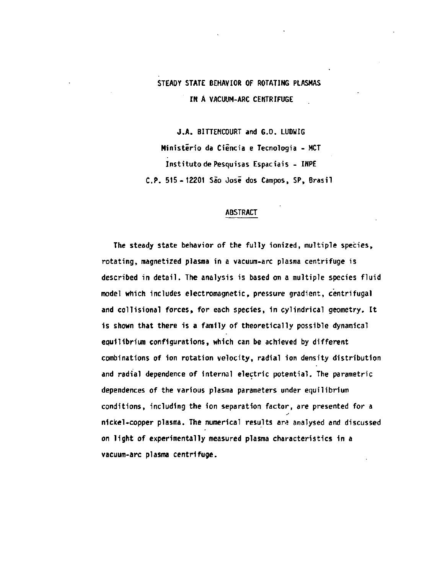# **STEADY STATE BEHAVIOR OF ROTATING PLASMAS IN Á VACUUM-ARC CENTRIFUGE**

**J.A. BITTENCOURT and G.O. LUDWIG Ministério da Ciência e Tecnologia - MCT Instituto de Pesquisas Espaciais - INPE C P . 515-12201 São Josi dos Campos, SP, Brasil** 

# **ABSTRACT**

**The steady state behavior of the fully ionized, multiple species, rotating, magnetized plasma in a vacuum-arc plasma centrifuge is described in detail. The analysis is based on a multiple species fluid model which includes electromagnetic, pressure gradient, centrifugal and collisional forces, for each species, in cylindrical geometry. It is shown that there is a family of theoretically possible dynamical equilibrium configurations, which can be achieved by different combinations of ion rotation velocity, radial ion density distribution and radial dependence of internal electric potential. The parametric dependences of the various plasma parameters under equilibrium conditions, including the ion separation factor, are presented for a nickel-copper plasma. The numerical results an; analysed and discussed on light of experimentally measured plasma characteristics in a vacuum-arc plasma centrifuge.**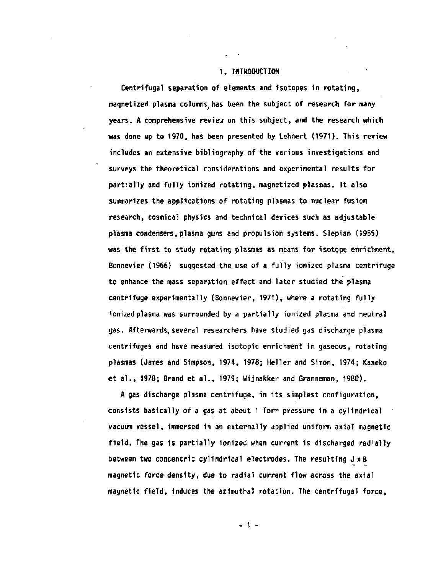# **1. INTRODUCTION**

**Centrifugal separation of elements and isotopes in rotating, magnetized plasma columns^ has been the subject of research for many years. A comprehensive review on this subject, and the research which was done up to 1970, has been presented by Lehnert (1971). This review includes an extensive bibliography of the various investigations and surveys the theoretical considerations and experimental results for partially and fully ionized rotating, magnetized plasmas. It also summarizes the applications of rotating plasmas to nuclear fusion research, cósmica! physics and technical devices such as adjustable plasma condensers, plasma guns and propulsion systems. Slepian (1955) was the first to study rotating plasmas as means for isotope enrichment. Bonnevier (1966) suggested the use of a fully ionized plasma centrifuge to enhance the mass separation effect and later studied the plasma centrifuge experimentally (Bonnevier, 1971), where a rotating fully ionized plasma was surrounded by a partially ionized plasma and neutral gas. Afterwards, several researchers have studied gas discharge plasma centrifuges and have measured isotopic enrichment in gaseous, rotating plasmas (James and Simpson, 1974, 1978; Heller and Simon, 1974; Kaneko et al., 1978; Brand et a!., 1979; Wijnakker and Granneman, 1980).** 

**A gas discharge plasma centrifuge, in its simplest configuration, consists basically of a gas at about 1 Torr pressure in a cylindrical vacuum vessel, immersed in an externally applied uniform axial magnetic field. The gas is partially ionized when current is discharged radially between two concentric cylindrical electrodes. The resulting Jx B magnetic force density, due to radial current flow across the axial magnetic field, induces the azimuthal rotation. The centrifugal force,** 

**- 1 -**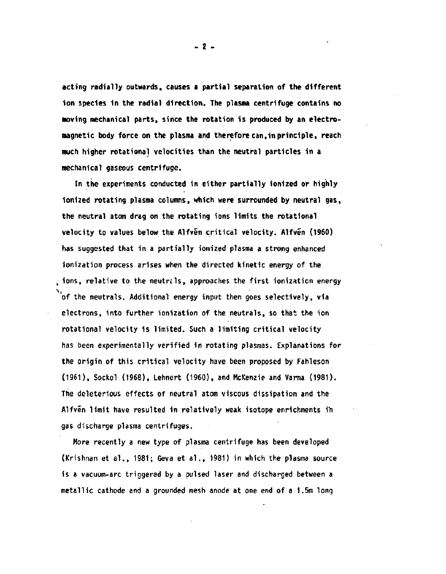**acting radially outwards, causes a partial separation of the different ion species in the radial direction. The plasma centrifuge contains no moving mechanical parts, since the rotation is produced by an electromagnetic body force on the plasma and therefore can,in principle, reach much higher rotational velocities than the neutral particles in a mechanical gaseous centrifuge.** 

**In the experiments conducted in either partially ionized or highly ionized rotating plasma columns, which were surrounded by neutral gas, the neutral atom drag on the rotating ions limits the rotational velocity to values below the Alfvén critical velocity. Alfven (1960) has suggested that in a partially ionized plasma a strong enhanced ionization process arises when the directed kinetic energy of the , ions, relative to the neutrels, approaches the first ionization energy of the neutrals. Additional energy input then goes selectively, via electrons, into further ionization of the neutrals, so that the ion rotational velocity is limited. Such a limiting critical velocity has been experimentally verified in rotating plasmas. Explanations for the origin of this critical velocity have been proposed by Fahleson (1961), Sockol (1968), Lehnert (1960), and McKenzie and Varma (1981). The deleterious effects of neutral atom viscous dissipation and the Alfvin limit have resulted in relatively weak isotope enrichments i'n gas discharge plasma centrifuges.** 

**More recently a new type of plasma centrifuge has been developed (Krishnan et al., 1981; Geva et al., 1981) in which the plasma source is a vacuum-arc triggered by a pulsed laser and discharged between a metallic cathode and a grounded mesh anode at one end of a 1.5m long** 

**- 2 -**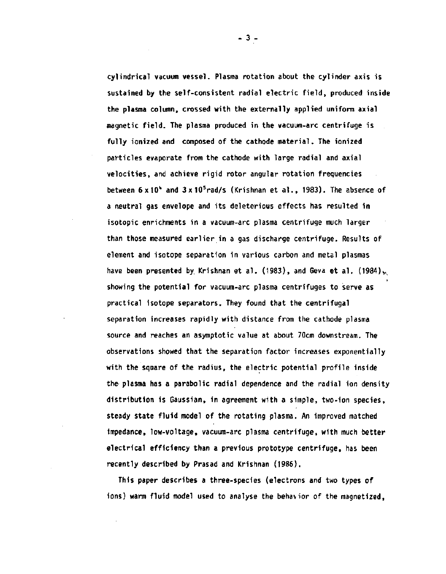**cylindrical vacuum vessel. Plasma rotation about the cylinder axis is sustained by the self-consistent radial electric field, produced inside the plasma column, crossed with the externally applied uniform axial magnetic field. The plasma produced in the vacuum-arc centrifuge is fully ionized and composed of the cathode material. The ionized particles evaporate from the cathode with large radial and axial velocities, and achieve rigid rotor angular rotation frequencies between 6x10'' and 3xl0<sup>5</sup>rad/s (Krishnan et al., 1983). The absence of a neutral gas envelope and its deleterious effects has resulted in isotopic enrichments in a vacuum-arc plasma centrifuge much larger than those measured earlier in a gas discharge centrifuge. Results of element and isotope separation in various carbon and metal plasmas**  have been presented by Krishnan et al. (1983), and Geva et al. (1984), **showing the potential for vacuum-arc plasma centrifuges to serve as practical isotope separators. They found that the centrifugal separation increases rapidly with distance from the cathode plasma source and reaches an asymptotic value at about 70cm downstream. The observations showed that the separation factor increases exponentially with the square of the radius, the electric potential profile inside the- plasma has a parabolic radial dependence and the radial ion density distribution is Gaussian, in agreement with a simple, two-ion species, steady state fluid model of the rotating plasma. An improved matched impedance, low-voltage, vacuum-arc plasma centrifuge, with much better electrical efficiency than a previous prototype centrifuge, has been recently described by Prasad and Krishnan (1986).** 

**This paper describes a three-species (electrons and two types of ions) warm fluid model used to analyse the behavior of the magnetized,** 

**- 3 -**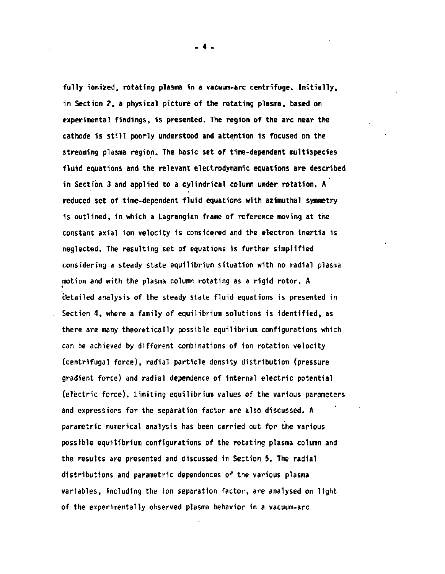**fully ionized, rotating plasma in a vacuum-arc centrifuge. Initially, in Section 2, a physical picture of the rotating plasma, based on experimental findings, is presented. The region of the arc near the cathode is still poorly understood and attention is focused on the streaming plasma region. The basic set of time-dependent multispecies fluid equations and the relevant electrodynamic equations are described in Section 3 and applied to a cylindrical column under rotation. A reduced set of time-dependent fluid equations with azimuthal symmetry is outlined, in which a Lagrangian frame of reference moving at the constant axial ion velocity is considered and the electron inertia is neglected. The resulting set of equations is further simplified considering a steady state equilibrium situation with no radial plasma motion and with the plasma column rotating as a rigid rotor. A detailed analysis of the steady state fluid equations is presented in Section 4, where a family of equilibrium solutions is identified, as there are many theoretically possible equilibrium configurations which can be achieved by different combinations of ion rotation velocity (centrifugal force), radial particle density distribution (pressure gradient force) and radial dependence of internal electric potential (electric force). Limiting equilibrium values of the various parameters and expressions for the separation factor are also discussed. A parametric numerical analysis has been carried out for the various possible equilibrium configurations of the rotating plasma column and the results are presented and discussed in Section 5. The radial distributions and parametric dependences of the various plasma variables, including the ion separation factor, are analysed on light of the experimentally observed plasma behavior in a vacuum-arc** 

**- 4 -**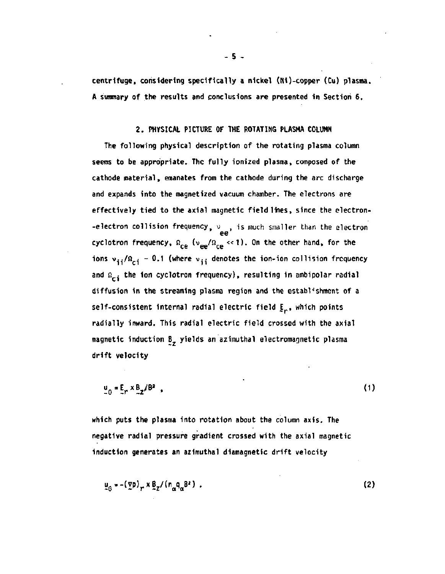**centrifuge, considering specifically a nickel (Ni)-copper (Cu) plasma. A summary of the results and conclusions are presented in Section 6.** 

## **2. PHYSICAL PICTURE OF THE ROTATING PLASMA COLUMN**

**The following physical description of the rotating plasma column seems to be appropriate. The fully ionized plasma» composed of the cathode material, emanates from the cathode during the arc discharge and expands into the magnetized vacuum chamber. The electrons are**  effectively tied to the axial magnetic field lines, since the electron-**-electron collision frequency,**  $v_{\text{ref}}$ **, is much smaller than the electron** cyclotron frequency,  $n_{ce}$  ( $v_{ee}/n_{ce} \ll 1$ ). On the other hand, for the **cyclotron frequency, fi (ve e/^ce K<<sup>D</sup> . 0" the other hand, for the**  and  $\Omega_{\text{c}i}$  the ion cyclotron frequency), resulting in ambipolar radial diffusion in the streaming plasma region and the establishment of a **self-consistent internal radial electric field**  $E_r$ **, which points** radially inward. This radial electric field crossed with the axial magnetic induction B<sub>z</sub> yields an azimuthal electromagnetic plasma **magnetic induction B yields an azimuthal electromagnetic plasma** 

$$
\underline{u}_{\theta} = \underline{E}_r \times \underline{B}_z / B^2 \tag{1}
$$

**which puts the plasma into rotation about the column axis. The negative radial pressure gradient crossed with the axial magnetic induction generates an azimuthal diamagnetic drift velocity** 

$$
\mu_{\Theta} = -(\Sigma p)_P \times \underline{\beta}_Z / (n_{\alpha} q_{\alpha} B^2) \tag{2}
$$

**- 5 -**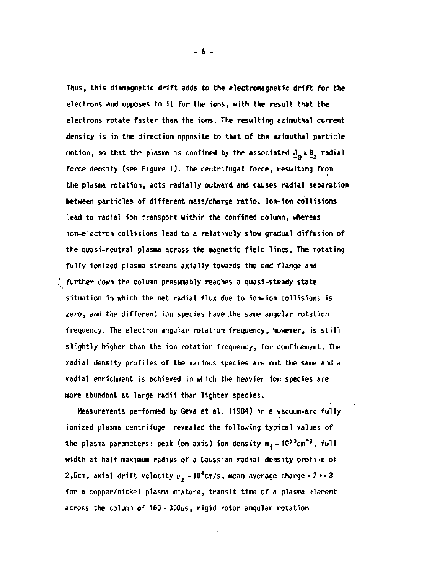**Thus, this diamagnetic drift adds to the electromagnetic drift for the electrons and opposes to it for the ions, with the result that the electrons rotate faster than the ions. The resulting azimuthai current density is in the direction opposite to that of the azimuthai particle motion, so that the plasma is confined by the associated**  $J_A \times J_Z$  **radial** force density (see Figure 1). The centrifugal force, resulting from the plasma rotation, acts radially outward and causes radial separation **the plasma rotation, acts radially outward and causes radial separation between particles of different mass/charge ratio. Ion-ion collisions**  the quasi-neutral plasma across the magnetic field lines. The rotating  $\frac{4}{3}$  further down the column presumably reaches a quasi-steady state **Situation in which the met radial flux due to ion-ion collisions is zero, and the different ion species have the same angular rotation radial enrichment is achieved in which the heavier ion species are**  more abundant at large radii than lighter species.

Measurements performed by Geva et al, (1984) in a vacuum-arc fully **Measurements performed by Geva et al. (1984) in a vacuum-arc fully ionized plasma centrifuge revealed the following typical values of the plasma parameters: peak (on axis) ion density n^-IO^cm"<sup>3</sup> , full**  width at half maximum radius of a Gaussian radial density profile of **width at half maximum radius of a Gaussian radial density profile of 2.5cm, axial drift velocity uz - 10<sup>6</sup>cm/s, mean average charge<Z>=3** 

**across the column of 160-300us, rigid rotor angular rotation** 

**more abundant at large radii than lighter species.**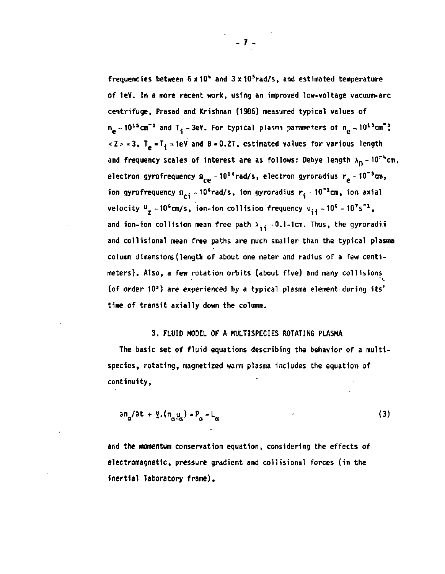**frequencies between 6 x1o<sup>11</sup> and 3x10<sup>5</sup>rad/s, and estimated temperature of 1eV. In a more recent work, using an improved low-voltage vacuum-arc centrifuge, Prasad and Krishnan (1986) measured typical values of**   $n_e \sim 10^{15}$  cm<sup>-3</sup> and T<sub>i</sub> -3eV. For typical plasma parameters of  $n_e \sim 10^{13}$  cm<sup>-3</sup>  $<$ Z > = 3, T<sub>e</sub> = T<sub>i</sub> = 1eV and B = 0.2T, estimated values for various length and frequency scales of interest are as follows: Debye length  $\lambda_{\rm D}$  - 10<sup>-b</sup>cm, electron gyrofrequency  $\Omega_{ce} \sim 10^{10}$  rad/s, electron gyroradius  $r_e \sim 10^{-3}$ cm, ion gyrofrequency  $\Omega_{c1} \sim 10^{6}$ rad/s, ion gyroradius r<sub>i</sub> ~10<sup>-1</sup>cm, ion axial **velocity**  $\frac{u}{z} \sim 10^6$  cm/s, ion-ion collision frequency  $v_{11} \sim 10^6 - 10^7$ s<sup>-1</sup>, and ion-ion collision mean free path  $\lambda_{11} = 0.1$ -1cm. Thus, the gyroradii **and collisional mean free paths are much smaller than the typical plasma column dimensions (length of about one meter and radius of a few centimeters). Also, a few rotation orbits (about five) and many collisions (of order 10<sup>2</sup>) are experienced by a typical plasma element during its' time of transit axially down the column.** 

# **3. FLUID MODEL OF A MULTISPECIES ROTATING PLASMA**

**The basic set of fluid equations describing the behavior of a multispecies, rotating, magnetized warm plasma includes the equation of continuity,** 

$$
\partial n_{\alpha}/\partial t + \Psi \cdot (n_{\alpha}\Psi_{\alpha}) = P_{\alpha} - L_{\alpha} \tag{3}
$$

**and the momentum conservation equation, considering the effects of electromagnetic, pressure gradient and collisional forces (in the inertial laboratory frame),**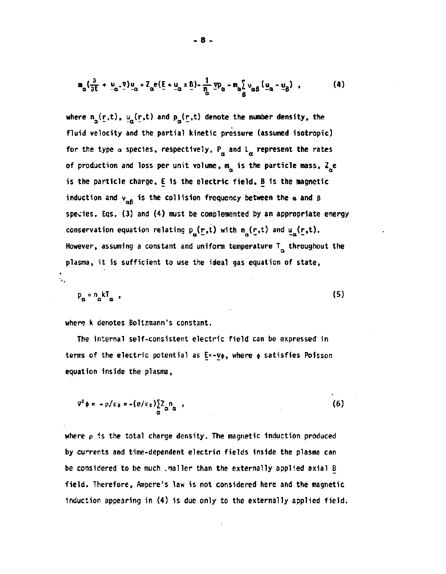$$
\mathbf{n}_{\alpha} \left( \frac{\partial}{\partial t} + \mu_{\alpha} \cdot \nabla \right) \mathbf{u}_{\alpha} = \mathbf{Z}_{\alpha} \mathbf{e} \left( \underline{\mathbf{E}} + \underline{\mathbf{u}}_{\alpha} \times \underline{\mathbf{B}} \right) - \frac{1}{\eta_{\alpha}} \mathbf{y} \mathbf{p}_{\alpha} - \mathbf{n}_{\alpha} \sum_{\beta} \mathbf{v}_{\alpha \beta} \left( \underline{\mathbf{u}}_{\alpha} - \underline{\mathbf{u}}_{\beta} \right) , \qquad (4)
$$

where  $n_{\alpha}(\underline{r},t)$ ,  $u_{\alpha}(\underline{r},t)$  and  $p_{\alpha}(\underline{r},t)$  denote the number density, the fluid velocity and the partial kinetic pressure (assumed isotropic) for the type  $\alpha$  species, respectively,  $P_{\alpha}$  and  $L_{\alpha}$  represent the rates of production and loss per unit volume, m<sub>a</sub> is the particle mass, Z<sub>a</sub>e is the particle charge, E is the electric field, B is the magnetic **is the particle charge, E is the electric field, B is the magnetic induction and v . is the collision frequency between the original state of and**  $\mathbf{r}$ **species. Eqs. (3) and (4) must be complemented by an appropriate energy conservation equation relating p (r,t) with n (r,t) and u (r,t).**  However, assuming a constant and uniform temperature  $T_{\alpha}$  throughout the plasma, it is sufficient to use the ideal gas equation of state, **plasma, it is sufficient to use the ideal gas equation of state,** 

 $p_{\alpha} = n_{\alpha} kT_{\alpha}$ , (5)

**where k denotes Boltzmann's constant.** 

**The internal self-consistent electric field can be expressed in**  terms of the electric potential as E<sup>*k*</sup> **-V**¢, where ¢ satisfies Poisson **equation inside the plasma,** 

 $\nabla^2 \phi = -\rho/\epsilon_0 = -(\epsilon/\epsilon_0) \sum_l \lambda_l \mathbf{n}_a$ , (6) a

where  $\rho$  is the total charge density. The magnetic induction produced **by currents and time-dependent electrio fields inside the plasma can be considered to be much .mailer than the externally applied axial B field. Therefore, Ampere's law is not considered here and the magnetic induction appearing in (4) is due only to the externally applied field.**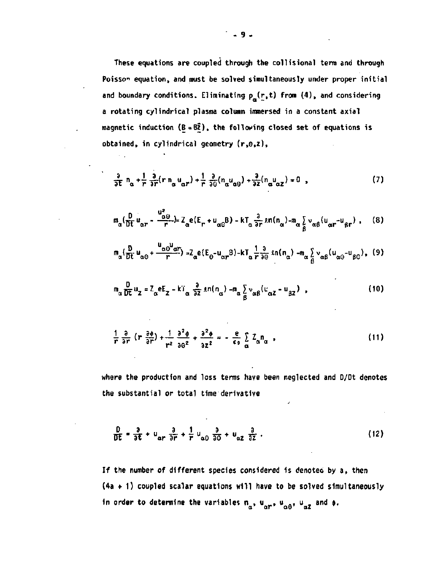These equations are coupled through the collisional term and through Poisson equation, and must be solved simultaneously under proper initial and boundary conditions. Eliminating  $p_{\alpha}(\mathbf{r},t)$  from (4), and considering a rotating cylindrical plasma column immersed in a constant axial magnetic induction ( $B = B\overline{2}$ ), the following closed set of equations is obtained, in cylindrical geometry (r,0,z),

$$
\frac{\partial}{\partial t} n_{\alpha} + \frac{1}{r} \frac{\partial}{\partial r} (r n_{\alpha} u_{\alpha r}) + \frac{1}{r} \frac{\partial}{\partial \theta} (n_{\alpha} u_{\alpha \theta}) + \frac{\partial}{\partial z} (n_{\alpha} u_{\alpha z}) = 0 \quad , \tag{7}
$$

$$
m_{\alpha} \left( \frac{D}{Dt} u_{\alpha r} - \frac{u_{\alpha \beta}^2}{r} \right) = Z_{\alpha} e(E_r + u_{\alpha \beta} B) - kT_{\alpha} \frac{3}{\partial r} \sin(n_{\alpha}) - m_{\alpha} \sum_{\beta} v_{\alpha \beta} (u_{\alpha r} - u_{\beta r}) , \quad (8)
$$

$$
m_{\alpha} \left( \frac{D}{Dt} u_{\alpha\beta} + \frac{u_{\alpha\beta} u_{\alpha r}}{r} \right) = Z_{\alpha} e(E_{\beta} - u_{\alpha r}B) - kT_{\alpha} \frac{1}{r} \frac{\partial}{\partial \theta} \sin(n_{\alpha}) - m_{\alpha} \frac{\partial}{\partial} v_{\alpha\beta} (u_{\alpha\beta} - u_{\beta\beta}),
$$
 (9)

$$
m_{\alpha} \frac{D}{Dt} u_{z} = Z_{\alpha} e E_{z} - kT_{\alpha} \frac{\partial}{\partial z} \ln(n_{\alpha}) - m_{\alpha} \sum_{\beta} v_{\alpha\beta} (u_{\alpha z} - u_{\beta z})
$$
 (10)

$$
\frac{1}{r}\frac{\partial}{\partial r}\left(r\frac{\partial \phi}{\partial r}\right) + \frac{1}{r^2}\frac{\partial^2 \phi}{\partial \theta^2} + \frac{\partial^2 \phi}{\partial z^2} = -\frac{e}{\epsilon_0}\sum_{\alpha} Z_{\alpha}n_{\alpha} \quad , \tag{11}
$$

where the production and loss terms have been neglected and D/Dt denotes the substantial or total time derivative

$$
\frac{D}{DE} = \frac{\partial}{\partial t} + u_{\alpha r} \frac{\partial}{\partial r} + \frac{1}{r} u_{\alpha \theta} \frac{\partial}{\partial \theta} + u_{\alpha z} \frac{\partial}{\partial z} . \qquad (12)
$$

If the number of different species considered is denoted by a, then  $(4a + 1)$  coupled scalar equations will have to be solved simultaneously in order to determine the variables  $n_{\alpha}$ ,  $u_{\alpha r}$ ,  $u_{\alpha \theta}$ ,  $u_{\alpha Z}$  and  $\phi$ .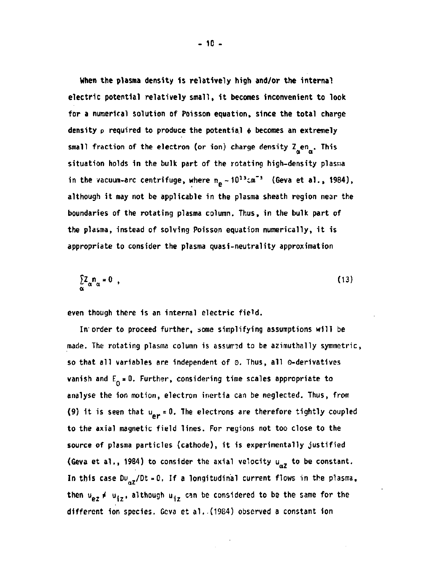**When the plasma density is relatively high and/or the internal electric potential relatively small, it becomes inconvenient to look for a numerical solution of Poisson equation, since the total charge**  density p required to produce the potential  $\phi$  becomes an extremely small fraction of the electron (or ion) charge density Z<sub>n</sub>en<sub>n</sub>. This **situation holds in the bulk part of the rotating high-density plasma**  in the vacuum-arc centrifuge, where  $n_e \sim 10^{13}$ cm<sup>-3</sup> (Geva et al., 1984), **although it may not be applicable in the plasma sheath region near the boundaries of the rotating plasma column. Thus, in the bulk part of the plasma, instead of solving Poisson equation numerically, it is appropriate to consider the plasma quasi-neutrality approximation** 

$$
\sum_{\alpha} Z_{\alpha} n_{\alpha} = 0 \quad , \tag{13}
$$

**even though there is an internal electric field.** 

**In'order to proceed further, some simplifying assumptions will be**  made. The rotating plasma column is assumed to be azimuthally symmetric, **so that all variables are independent of 0. Thus, all ©-derivatives vanish and E<sub>n</sub> = 0. Further, considering time scales appropriate to analyse the ion motion, electron inertia can be neglected. Thus, from**  (9) it is seen that  $u_{\text{or}} = 0$ . The electrons are therefore tightly coupled **to the axial magnetic field lines. For regions not too close to the source of plasma particles (cathode), it is experimentally justified**  (Geva et al., 1984) to consider the axial velocity  $u_{\alpha z}$  to be constant. In this case  $Du_{\alpha Z}/Dt = 0$ . If a longitudinal current flows in the plasma, **then**  $u_{ez} \neq u_{iz}$ , although  $u_{iz}$  can be considered to be the same for the **different ion species. Geva et al..(1984) observed a constant ion**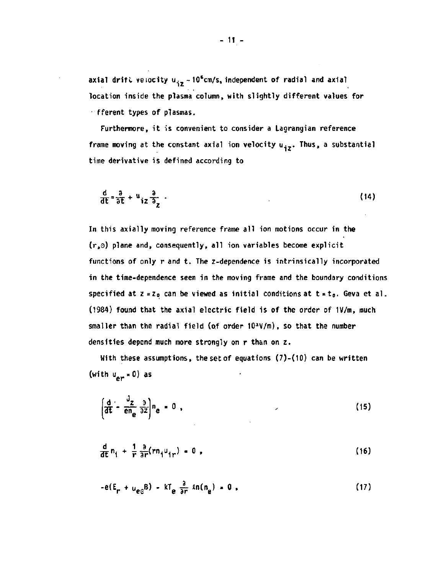axial drift velocity u<sub>iz</sub> ~10<sup>6</sup>cm/s, independent of radial and axial **location inside the plasma column, with slightly different values for • fferent types of plasmas.** 

**Furthermore, it is convenient to consider a Lagrangian reference**  frame moving at the constant axial ion velocity u<sub>iz</sub>. Thus, a substantial **time derivative is defined according to** 

$$
\frac{d}{dt} = \frac{a}{\partial t} + u_{iz} \frac{a}{\partial z} \tag{14}
$$

**In this axially moving reference frame all ion motions occur in the (r,3) plane and, consequently, all ion variables become explicit functions of only r and t. The z-dependence is intrinsically incorporated in the time-dependence seen in the moving frame and the boundary conditions**  specified at  $z = z_0$  can be viewed as initial conditions at  $t = t_0$ . Geva et al. **(1984) found that the axial electric field is of the order of 1V/m, much smaller than the radial field (of order 10<sup>3</sup>V/m), so that the number densities depend much more strongly on r than on z.** 

**With these assumptions, the set of equations (7)-(10) can be written (with u<sup>e</sup> <sup>r</sup> = 0) as** 

$$
\left(\frac{d}{dt} - \frac{J_z}{en_e} \frac{\partial}{\partial z}\right) n_e = 0
$$
 (15)

$$
\frac{d}{dt} n_1 + \frac{1}{r} \frac{\partial}{\partial r} (r n_1 u_{1r}) = 0 , \qquad (16)
$$

$$
-e(E_{\rm p} + u_{\rm ee}B) - kT_{\rm e} \frac{\partial}{\partial r} ln(n_{\rm e}) = 0,
$$
 (17)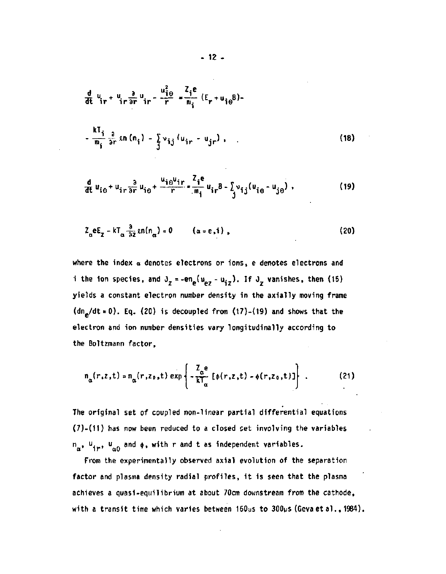$$
\frac{d}{dt} u_{ir} + u_{ir} \frac{\partial}{\partial r} u_{ir} - \frac{u_{i\theta}^2}{r} = \frac{z_i e}{m_i} (E_r + u_{i\theta}B) -
$$
\n
$$
-\frac{kT_i}{m_i} \frac{\partial}{\partial r} \sin (n_i) - \frac{\sum v_{ij} (u_{ir} - u_{jr})}{r}.
$$
\n(18)

$$
\frac{d}{dt} u_{i\theta} + u_{ir}\frac{\partial}{\partial r} u_{i\theta} + \frac{u_{i\theta}u_{ir}}{r} = \frac{z_i e}{m_i} u_{ir}B - \sum_j v_{ij} (u_{i\theta} - u_{j\theta})
$$
 (19)

$$
Z_{\alpha}eE_{\alpha} - kT_{\alpha} \frac{\partial}{\partial z} ln(n_{\alpha}) = 0 \qquad (\alpha = e, i),
$$
 (20)

**where the index a denotes electrons or ions, e denotes electrons and i** the ion species, and  $J_z = -en_a(u_a, -u_i, z)$ . If  $J_z$  vanishes, then (15) **yields a constant electron number density in the axially moving frame (dne/dt = 0). Eq. (20) is decoupled from (17)-(19) and shows that the electron and ion number densities vary longitudinally according to the Boltzmann factor,** 

$$
n_{\alpha}(r,z,t) = n_{\alpha}(r,z_0,t) \exp \left\{ -\frac{Z_{\alpha}e}{kT_{\alpha}} \left[ \phi(r,z,t) - \phi(r,z_0,t) \right] \right\} \ . \tag{21}
$$

**The original set of coupled non-linear partial differential equations (7)-(11) has now been reduced to a closed set involving the variables**  n<sub>a</sub>, u<sub>ir</sub>, u<sub>n0</sub> and  $\phi$ , with r and t as independent variables.

**From the experimentally observed axial evolution of the separation factor and plasma density radial profiles, it is seen that the plasma achieves a quasi-equilibrium at about 70cm downstream from the cathode, with a transit time which varies between 160ys to 300ps (Gevaetal., 1984).**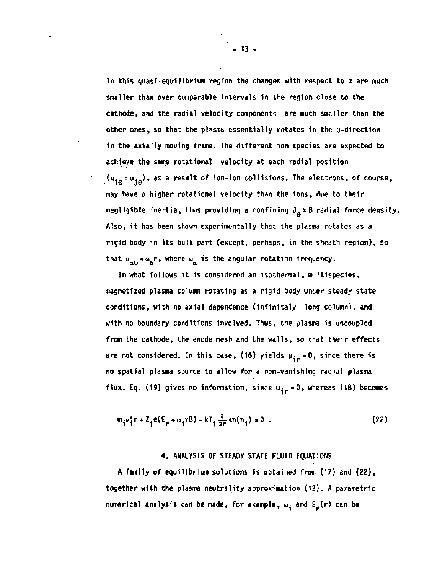**In this quasi-equilibrium region the changes with respect to z are much smaller than over comparable intervals in the region close to the cathode, and the radial velocity components are much smaller than the other ones, so that the plasma essentially rotates in the o-direction in the axially moving frame. The different ion species are expected to achieve the same rotational velocity at each radial position (u. =u. ) , as a result of ion-ion collisions. The electrons, of course, may have a higher rotational velocity than the ions, due to their negligible inertia, thus providing a confining**  $J_a \times B$  **radial force density. Also, it has been shown experimentally that the plasma rotates as a rigid body in its bulk part (except, perhaps, in the sheath region), so**  that  $u_{\alpha\beta} = \omega_{\alpha} r$ , where  $\omega_{\alpha}$  is the angular rotation frequency.

**In what follows it is considered an isothermal, multispecies, magnetized plasma column rotating as a rigid body under steady state conditions, with no axial dependence (infinitely long column), and with no boundary conditions involved. Thus, the plasma is uncoupled from the cathode, the anode mesh and the walls, so that their effects**  are not considered. In this case, (16) yields  $u_{ir} = 0$ , since there is **no spatial plasma source to allow for a non-vanishing radial plasma**  flux. Eq. (19) gives no information, since u<sub>ir</sub> = 0, whereas (18) becomes

$$
m_{\hat{i}}\omega_{\hat{i}}^2 r + Z_{\hat{i}}e(E_{\hat{r}} + \omega_{\hat{i}}rB) - kT_{\hat{i}}\frac{\partial}{\partial r}\ln(n_{\hat{i}}) = 0.
$$
 (22)

#### **4. ANALYSIS OF STEADY STATE FLUID EQUATIONS**

**A family of equilibrium solutions is obtained from (17) and (22), together with the plasma neutrality approximation (13). A parametric**  numerical analysis can be made, for example,  $\omega_{\hat{a}}$  and  $E_{\mu}(r)$  can be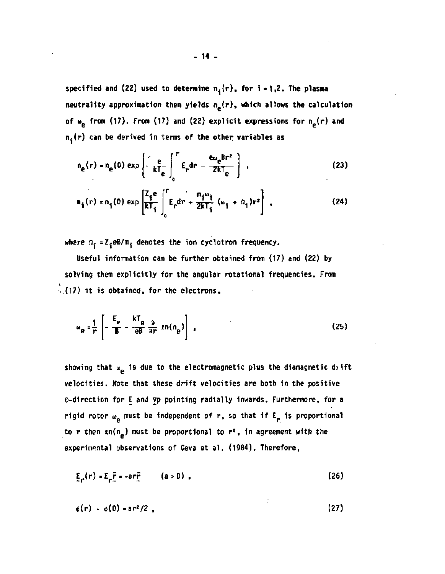specified and (22) used to determine  $n_i(r)$ , for  $i = 1,2$ . The plasma neutrality approximation then yields  $n_e(r)$ , which allows the calculation of  $\omega_{\rm e}$  from (17). From (17) and (22) explicit expressions for  $n_{\rm e}(r)$  and  $n_i(r)$  can be derived in terms of the other variables as

$$
n_{e}(r) = n_{e}(0) \exp\left(-\frac{e}{kT_{e}}\int_{0}^{r} E_{r} dr - \frac{e_{w_{e}}Br^{2}}{2kT_{e}}\right)
$$
 (23)

$$
n_{\hat{i}}(r) = n_{\hat{i}}(0) \exp\left[\frac{Z_{\hat{i}}e}{kT_{\hat{i}}}\int_{0}^{r} E_{r} dr + \frac{m_{\hat{i}}\omega_{\hat{i}}}{2kT_{\hat{i}}}\left(\omega_{\hat{i}} + \Omega_{\hat{i}}\right)r^{2}\right],
$$
 (24)

where  $n_i = Z_i eB/m_i$  denotes the ion cyclotron frequency.

Useful information can be further obtained from (17) and (22) by solving them explicitly for the angular rotational frequencies. From .,(17) it is obtained, for the electrons,

$$
\omega_{\mathbf{e}} = \frac{1}{r} \left[ -\frac{E_r}{B} - \frac{kT_{\mathbf{e}}}{eB} \frac{\partial}{\partial r} \ln(n_{\mathbf{e}}) \right],
$$
 (25)

showing that  $\omega_{\rm p}$  is due to the electromagnetic plus the diamagnetic difft velocities. Note that these drift velocities are both in the positive o-direction for E and vp pointing radially inwards. Furthermore, for a rigid rotor  $\omega_{\rm e}$  must be independent of r, so that if E<sub>r</sub> is proportional to r then  $\mathfrak{sn}(n_e)$  must be proportional to  $r^2$ , in agreement with the experimental observations of Geva et al. (1984). Therefore,

 $\xi_r(r) = E_r \hat{r} = -ar\hat{r}$  (a > 0), (26)

$$
\phi(r) - \phi(0) = ar^2/2 \tag{27}
$$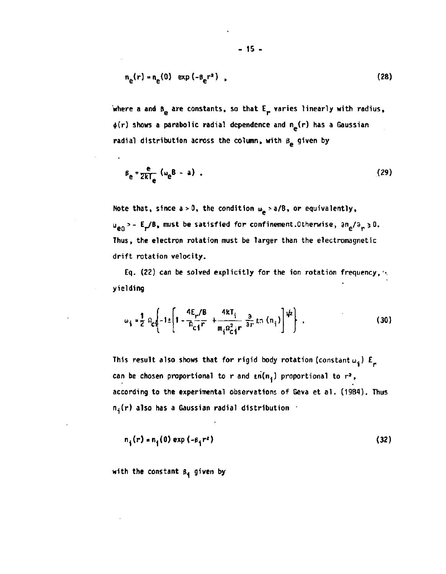$$
n_e(r) = n_e(0) \exp(-\beta_e r^2) \tag{28}
$$

**where a and B<sub>p</sub> are constants, so that E<sub>p</sub> varies linearly with radius, 4>(r) shows a parabolic radial dependence and n (r) has a Gaussian**  radial distribution across the column, with  $\beta_{\bf p}$  given by

$$
\beta_{\mathbf{e}} = \frac{\mathbf{e}}{2kT_{\mathbf{e}}} \left( \omega_{\mathbf{e}} \mathbf{B} - \mathbf{a} \right) \tag{29}
$$

Note that, since  $a > 0$ , the condition  $\omega_{\mathbf{e}} > a/8$ , or equivalently, **u<sub>e</sub>**<sup>2</sup> - E<sub>r</sub>/B, must be satisfied for confinement.Otherwise,  $\partial n_e / \partial_r \ge 0$ . **Thus, the electron rotation must be larger than the electromagnetic drift rotation velocity.** 

**Eq. (22) can be solved explicitly for the ion rotation frequency, yielding** 

$$
\omega_{\mathbf{i}} = \frac{1}{2} \Omega_{\mathbf{c}\mathbf{i}} \left[ -1 \pm \left[ 1 - \frac{4E_{\mathbf{r}}/B}{\Omega_{\mathbf{c}\mathbf{i}} \mathbf{r}} + \frac{4kT_{\mathbf{i}}}{m_{\mathbf{i}} \Omega_{\mathbf{c}\mathbf{i}}^2 \mathbf{r}} \frac{\partial}{\partial r} k \ln \left( n_{\mathbf{i}} \right) \right]^{1/2} \right] \tag{30}
$$

This result also shows that for rigid body rotation (constant  $u_i$ )  $E_{\mu}$ can be chosen proportional to r and  $tn(n_i)$  proportional to  $r^2$ , **according to the experimental observations of Geva et al. (1984). Thus n.j(r) also has a Gaussian radial distribution** 

$$
n_1(r) * n_1(0) exp(-\beta_1 r^2)
$$
 (32)

**with the constant e, given by**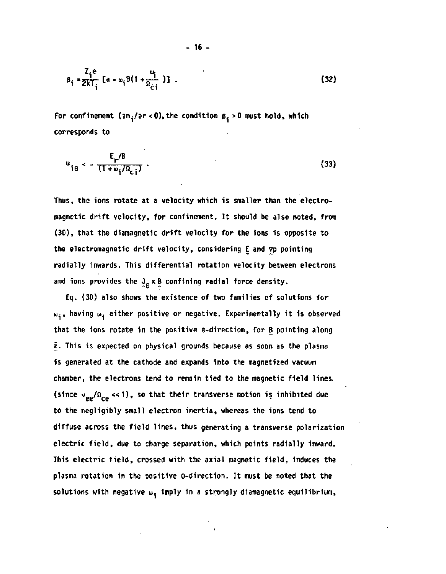$$
\beta_{\mathbf{i}} = \frac{Z_{\mathbf{i}}e}{2kT_{\mathbf{i}}} \left[ a - \omega_{\mathbf{i}}B(1 + \frac{\omega_{\mathbf{i}}}{R_{\mathbf{c}\mathbf{i}}} ) \right] . \tag{32}
$$

For confinement ( $3n_i/3r < 0$ ), the condition  $\beta_i > 0$  must hold, which **corresponds to** 

$$
u_{i\theta} < -\frac{E_r/B}{(1+\omega_i/\Omega_{ci})} \tag{33}
$$

**Thus, the ions rotate at a velocity which is smaller than the electromagnetic drift velocity, for confinement. It should be also noted, from (30), that the diamagnetic drift velocity for the ions is opposite to the electromagnetic drift velocity, considering E and vp pointing radially inwards. This differential rotation velocity between electrons**  and ions provides the  $J_{\alpha} \times B$  confining radial force density.

**Eq. (30) also shows the existence of two families of solutions for w.j, having w. either positive or negative. Experimentally it is observed that the ions rotate in the positive 0-direction, for B pointing along z. This is expected on physical grounds because as soon as the plasma is generated at the cathode and expands into the magnetized vacuum chamber, the electrons tend to remain tied to the magnetic field lines,**  (since  $v_{\text{eq}}/\Omega_{\text{eq}} \ll 1$ ), so that their transverse motion is inhibited due **to the negligibly small electron inertia, whereas the ions tend to diffuse across the field lines, thus generating a transverse polarization electric field, due to charge separation, which points radially inward. This electric field, crossed with the axial magnetic field, induces the plasma rotation in the positive e-direction. It must be noted that the**  solutions with negative  $\omega_{\frac{1}{2}}$  imply in a strongly diamagnetic equilibrium,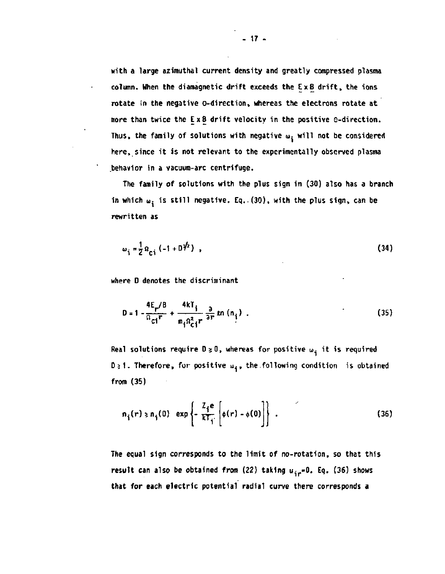**with a large azimuthal current density and greatly compressed plasma column. When the diamagnetic drift exceeds the Ex B drift, the ions rotate in the negative ©-direction, whereas the electrons rotate at more than twice the Ex B drift velocity in the positive e-direction.**  Thus, the family of solutions with negative  $\omega_i$  will not be considered **here, since it is not relevant to the experimentally observed plasma .behavior in a vacuum-arc centrifuge.** 

**The family of solutions with the plus sign in (30) also has a branch**  in which  $\mathbf{u}_i$  is still negative. Eq..(30), with the plus sign, can be **rewritten as** 

$$
\omega_{i} = \frac{1}{2} \Omega_{ci} (-1 + D)^{i/2} , \qquad (34)
$$

**where D denotes the discriminant** 

$$
D = 1 - \frac{4E_r/B}{\Omega_{ci}r} + \frac{4kT_i}{m_i \Omega_{ci}^2 r} \frac{\partial}{\partial r} ln (n_i)
$$
 (35)

Real solutions require  $D \ge 0$ , whereas for positive  $\omega_{\vec{1}}$  it is required **D**<sub>2</sub>1. Therefore, for positive  $\mathbf{u}_i$ , the following condition is obtained **from (35)** 

$$
n_{\hat{i}}(r) \ge n_{\hat{i}}(0) \exp\left\{-\frac{Z_i e}{kT_{\hat{i}}}\left[\phi(r) - \phi(0)\right]\right\} \tag{36}
$$

**The equal sign corresponds to the limit of no-rotation, so that this**  result can also be obtained from (22) taking  $u_{ir} = 0$ . Eq. (36) shows **that for each electric potential radial curve there corresponds a**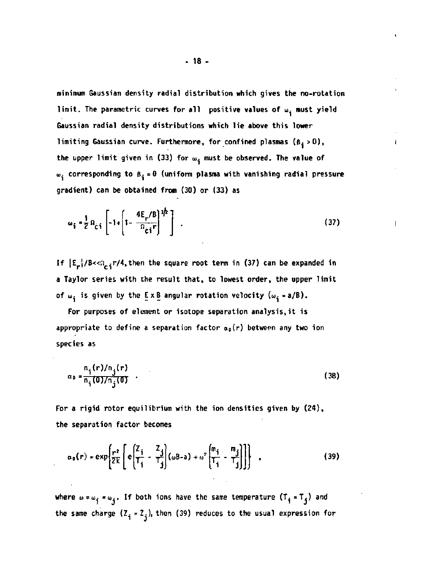**minimum Gaussian density radial distribution which gives the no-rotation**  limit. The parametric curves for all positive values of w<sub>i</sub> must yield **Gaussian radial density distributions which lie above this lower limiting Gaussian curve. Furthermore, for confined plasmas**  $(\beta_i > 0)$ **,** the upper limit given in (33) for  $\omega_{\mathbf{i}}$  must be observed. The value of **u». corresponding to p. = 0 (uniform plasma with vanishing radial pressure gradient) can be obtained from (30) or (33) as** 

 $\mathbf{I}$ 

$$
\omega_{\mathbf{i}} = \frac{1}{2} \Omega_{\hat{C}\hat{\mathbf{i}}} \left[ -1 + \left[ 1 - \frac{4E_r/8}{\Omega_{\hat{C}\hat{\mathbf{i}}}r} \right]^{1/2} \right] \tag{37}
$$

If  $|E_r|/B<\Omega_{\rm ci} r/4$ , then the square root term in (37) can be expanded in **a Taylor series with the result that, to lowest order, the upper limit**  of  $\omega_i$  is given by the  $E \times B$  angular rotation velocity  $(\omega_i = a/B)$ .

**For purposes of element or isotope separation [analysis.it](http://analysis.it) is**  appropriate to define a separation factor  $a_p(r)$  between any two ion **species as** 

$$
\alpha_0 = \frac{n_i(r)/n_j(r)}{n_i(0)/n_j(0)}
$$
 (38)

**For a rigid rotor equilibrium with the ion densities given by (24), the separation factor becomes** 

$$
\alpha_0(r) = \exp\left\{\frac{r^2}{2k} \left[ e\left(\frac{Z_1}{T_1} - \frac{Z_1}{T_3}\right) (\omega \beta - a) + \omega^2 \left(\frac{m_1}{T_1} - \frac{m_1}{T_3}\right) \right] \right\} \quad , \tag{39}
$$

where  $\omega = \omega_j = \omega_j$ . If both ions have the same temperature  $(T_j = T_j)$  and the same charge  $(\frac{z}{i} = \frac{z}{j})$ , then (39) reduces to the usual expression for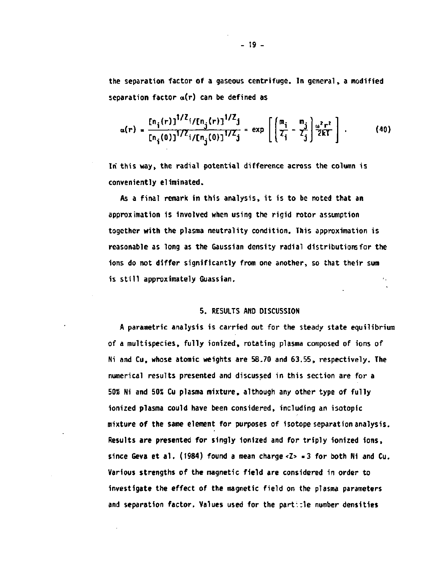**the separation factor of a gaseous centrifuge. In general, a modified separation factor a(r) can be defined as** 

$$
\alpha(r) = \frac{\left[n_{j}(r)\right]^{1/2} i / \left[n_{j}(r)\right]^{1/2} j}{\left[n_{j}(0)\right]^{1/2} i / \left[n_{j}(0)\right]^{1/2} j} = \exp\left[\left(\frac{m_{j}}{Z_{j}} - \frac{m_{j}}{Z_{j}}\right) \frac{\omega^{2} r^{2}}{2kT}\right].
$$
 (40)

**In this way, the radial potential difference across the column is conveniently eliminated.** 

**As a final remark in this analysis, it is to be noted that an approximation is involved when using the rigid rotor assumption together with the plasma neutrality condition. This approximation is reasonable as long as the Gaussian density radial distributions for the ions do not differ significantly from one another, so that their sum is still approximately Guassian.** 

## **5. RESULTS AND DISCUSSION**

**A parametric analysis is carried out for the steady state equilibrium of a multispecies, fully ionized, rotating plasma composed of ions of Ni and Cu, whose atomic weights are 58.70 and 63.55, respectively. The numerical results presented and discussed in this section are for a 50% Ni and 50% Cu plasma mixture, although any other type of fully ionized plasma could have been considered, including an isotopic mixture of the same element for purposes of isotope separation analysis. Results are presented for singly ionized and for triply ionized ions, since Geva et al. (1984) found a mean charge <Z> =3 for both Ni and Cu. Various strengths of the magnetic field are considered in order to investigate the effect of the magnetic field on the plasma parameters and separation factor. Values used for the part::1e number densities**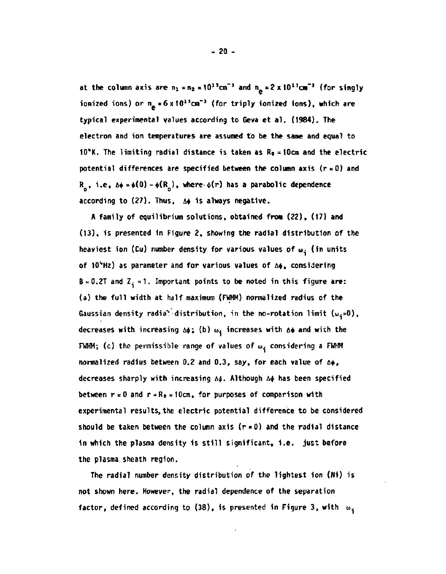at the column axis are  $n_1$  =  $n_2$  =  $10^{13}$ cm<sup>-3</sup> and  $n_p$  =  $2 \times 10^{13}$ cm<sup>-3</sup> (for singly ionized ions) or n<sub>a</sub> = 6 x 10<sup>13</sup>cm<sup>-3</sup> (for triply ionized ions), which are **typical experimental values according to Geva et al. (1984). The electron and ion temperatures are assumed to be the same and equal to 10"K. The limiting radial distance is taken as R0 = 10cm and the electric potential differences are specified between the column axis (r = 0) and**   $R_0$ , i.e,  $\Delta \phi = \phi(0) - \phi(R_0)$ , where  $\phi(r)$  has a parabolic dependence **according to (27). Thus, A\* is always negative.** 

**A family of equilibrium solutions, obtained from (22), (17) and (13), is presented in Figure 2, showing the radial distribution of the**  heaviest ion (Cu) number density for various values of w<sub>i</sub> (in units **of 10>,Hz) as parameter and for various values of A\$ , considering**   $B = 0.2T$  and  $Z<sub>i</sub> = 1$ . Important points to be noted in this figure are: **(a) the full width at half maximum (FWHM) normalized radius of the**  Gaussian density radia<sup>\*</sup> distribution, in the no-rotation limit  $(\omega_{\phi}=0)$ , decreases with increasing  $\Delta\phi$ ; (b)  $\omega_j$  increases with  $\Delta\phi$  and with the **FWHM;** (c) the permissible range of values of  $\omega_i$  considering a FWHM **normalized radius between 0.2 and 0.3, say, for each value of A\$, decreases sharply with increasing A\$ . Although A\$ has been specified**  between  $r \ne 0$  and  $r = R_0 = 10 \text{cm}$ , for purposes of comparison with **experimental results, the electric potential difference to be considered should be taken between the column axis (r = 0) and the radial distance in which the plasma density is still significant, i.e. just before the plasma sheath region.** 

**The radial number density distribution of the lightest ion (N1) is not shown here. However, the radial dependence of the separation factor, defined according to (38), is presented in Figure 3, with**  $\omega_i$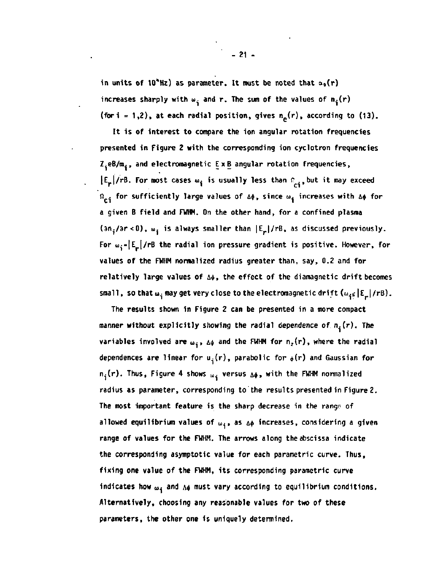in units of 10<sup>\*</sup>Hz) as parameter. It must be noted that  $a_0(r)$ increases sharply with  $\omega_i$  and r. The sum of the values of  $n_i(r)$ **(for i** = 1,2), at each radial position, gives  $n_e(r)$ , according to (13).

**It is of interest to compare the ion angular rotation frequencies presented in Figure 2 with the corresponding ion cyclotron frequencies Z.eB/m., and electromagnetic Ex B angular rotation frequencies,**   $|E_r|/r$ B. For most cases  $\omega_i$  is usually less than  $E_{ci}$ , but it may exceed **n<sub>ci</sub> for sufficiently large values of Δφ, since ω<sub>i</sub> increases with Δφ for a given B field and FWHM. On the other hand, for a confined plasma**  (an<sub>i</sub>/ar <0),  $\omega_i$  is always smaller than  $|E_r|/rB$ , as discussed previously. For  $\omega_{\mathbf{i}} = |E_{\mathbf{r}}|$ /rB the radial ion pressure gradient is positive. However, for **values of the FWHM normalized radius greater than, say, 0.2 and for**  relatively large values of  $\Delta\phi$ , the effect of the diamagnetic drift becomes small, so that  $\omega_i$  may get very close to the electromagnetic drift  $(\omega_i \in |E_{\boldsymbol{r}}|/rB)$ .

**The results shown in Figure 2 can be presented in a more compact**  manner without explicitly showing the radial dependence of  $n_i(r)$ . The **variables involved are**  $\omega_i$ **,**  $\Delta\phi$  **and the FWHM for**  $n_z(r)$ **, where the radial** dependences are linear for  $u_i(r)$ , parabolic for  $\phi(r)$  and Gaussian for  $n_j(r)$ . Thus, Figure 4 shows  $\omega_j$  versus  $\Delta\phi$ , with the FWHM normalized **radius as parameter, corresponding to'the results presented in Figure 2. The most important feature is the sharp decrease in the range- of allowed equilibrium values of w,, as &<\> increases, considering a given range of values for the FWHM. The arrows along the abscissa indicate the corresponding asymptotic value for each parametric curve. Thus, fixing one value of the FWHM, its corresponding parametric curve**  indicates how  $\omega_{\mathbf{i}}$  and  $\Lambda\phi$  must vary according to equilibrium conditions. **Alternatively, choosing any reasonable values for two of these parameters, the other one is uniquely determined.**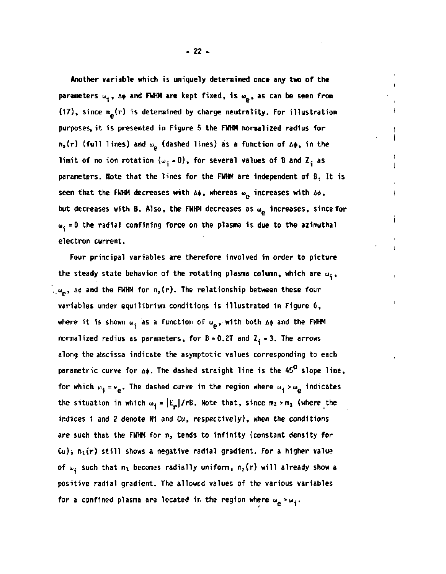**Another variable which is uniquely determined once any two of the**  parameters  $\omega_{\textbf{i}}$ , A+ and FWHM are kept fixed, is  $\omega_{\textbf{e}}$ , as can be seen from (17), since n<sub>e</sub>(r) is determined by charge neutrality. For illustration **purposes, it is presented in Figure 5 the FWHM normalized radius for**   $n_z(r)$  (full lines) and  $\omega_a$  (dashed lines) as a function of  $\Delta\phi$ , in the **limit of no ion rotation**  $(\omega_{\mathbf{i}} = 0)$ , for several values of B and Z<sub>i</sub> as **parameters. Note that the lines for the FWHM are independent of B. It is**  seen that the FMHM decreases with  $\Delta\phi$ , whereas  $\omega_{\mathbf{p}}$  increases with  $\Delta\phi$ , but decreases with B. Also, the FWHM decreases as  $\omega_{\mathbf{e}}$  increases, since for  $\omega_i = 0$  the radial confining force on the plasma is due to the azimuthal **u- =0 the radial confining force on the plasma is due to the azimuthal** 

Four principal variables are therefore involved in order to picture the steady state behavior of the rotating plasma column, which are  $\omega_{\frac{1}{2}}$ ,  $\theta_{\rm s, \omega_{\rm e}}$ ,  $\Delta \phi$  and the FWHM for  $\textsf{n}_\textsf{z}(\textsf{r})$ . The relationship between these four **variables** under equilibrium conditions is illustrated in Figure 6, where it is shown  $\omega_i$  as a function of  $\omega_{\mathbf{a}}$ , with both  $\Delta\phi$  and the FWHM **where it is shown Wi as a function of u> . with both A\* and the FWHM**   $\frac{1}{2}$  pur unic ter  $\frac{1}{2}$  for  $\frac{1}{2}$ along the abscissa indicate the asymptotic values corresponding to each parametric curve for  $\Delta \phi$ . The dashed straight line is the 45<sup>0</sup> slope line, for which  $\omega_{\mathbf{i}} = \omega_{\mathbf{e}}$ . The dashed curve in the region where  $\omega_{\mathbf{i}} > \omega_{\mathbf{e}}$  indicates the situation in which  $\omega_i = |E_{\mu}| / rB$ . Note that, since  $m_2 > m_1$  (where the indices 1 and 2 denote Ni and Cu, respectively), when the conditions are such that the FWHM for n<sub>2</sub> tends to infinity (constant density for Cu);  $n_1(r)$  still shows a negative radial gradient. For a higher value of  $\omega_i$  such that  $n_1$  becomes radially uniform,  $n_2(r)$  will already show a positive radial gradient. The allowed values of the various variables for a confined plasma are located in the region where  $\omega_{\mathbf{e}} > \omega_{\mathbf{i}}$ .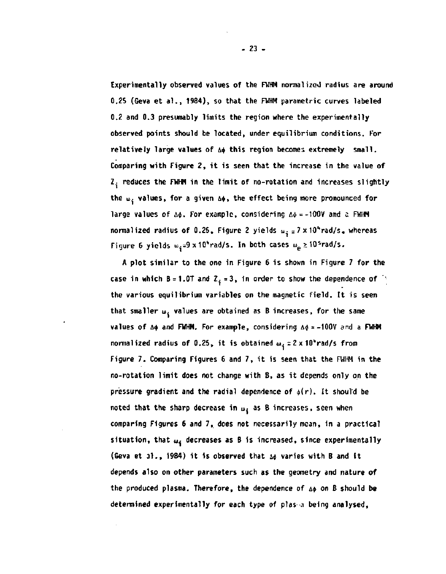**Experimentally observed values of the FWHM normalized radius are around 0.25 (Geva et al., 1984), so that the FWHM parametric curves labeled 0.2 and 0.3 presumably limits the region where the experimentally observed points should be located, under equilibrium conditions. For**  relatively large values of  $\Delta\phi$  this region becomes extremely small. **Comparing with Figure 2, it is seen that the increase in the value of Z. reduces the FWHM in the limit of no-rotation and increases slightly**  the  $\omega_i$  **values, for a given**  $\Delta\phi$ **, the effect being more pronounced for** large values of  $\Delta\phi$ . For example, considering  $\Delta\phi = -100V$  and a FWHM **normalized radius of 0.25, Figure 2 yields**  $\omega_0 = 7 \times 10^4$  **rad/s, whereas** Figure 6 yields  $w_i = 9 \times 10^4$  rad/s. In both cases  $w_p \ge 10^5$  rad/s.

**A plot similar to the one in Figure 6 is shown in Figure 7 for the**  case in which  $B = 1.0T$  and  $Z_5 = 3$ , in order to show the dependence of  $\frac{1}{2}$ **the various equilibrium variables on the magnetic field. It is seen**  that smaller  $\omega_4$  values are obtained as B increases, for the same **values of**  $\Delta\phi$  **and FWHM. For example, considering**  $\Delta\phi = -100V$  **and a FWHM normalized radius of 0.25, it is obtained w. =2 x 10"rad/s from Figure 7. Comparing Figures 6 and 7, it is seen that the FWHM in the no-rotation limit does not change with B, as it depends only on the**  pressure gradient and the radial dependence of  $\phi(r)$ . It should be noted that the sharp decrease in  $\omega_4$  as B increases, seen when **comparing Figures 6 and 7, does not necessarily mean, in a practical**  situation, that  $\omega_4$  decreases as B is increased, since experimentally (Geva et al., 1984) it is observed that  $\Delta\phi$  varies with B and it **depends also on other parameters such as the geometry and nature of**  the produced plasma. Therefore, the dependence of  $\Delta\phi$  on B should be **determined experimentally for each type of pias a being analysed,**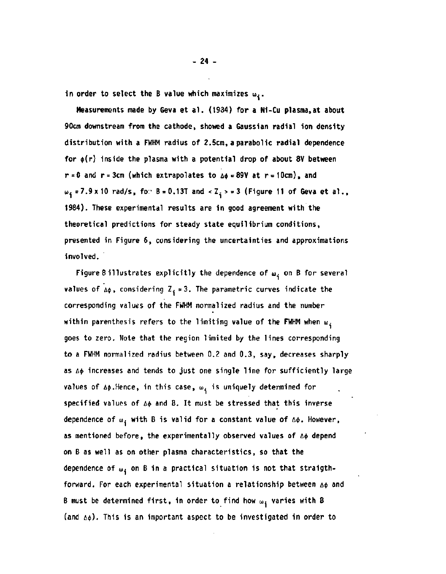in order to select the B value which maximizes  $\mathbf{w}_i$ .

**Measurements made by Geva et al. (1934) for a Ni-Cu plasma,at about 90cm downstream from the cathode, showed a Gaussian radial ion density distribution with a FWHM radius of 2.5cm,a parabolic radial dependence for \$(r) inside the plasma with a potential drop of about 8V between**   $r = 0$  and  $r = 3cm$  (which extrapolates to  $\Delta \phi = 89V$  at  $r = 10cm$ ), and **w<sub>i</sub>** = 7.9 x 10 rad/s, for B = 0.13T and < Z<sub>i</sub> > = 3 (Figure 11 of Geva et al., **1984). These experimental results are in good agreement with the theoretical predictions for steady state equilibrium conditions, presented in Figure 6, considering the uncertainties and approximations involved.** 

Figure 8 illustrates explicitly the dependence of  $\omega_{\textbf{i}}$  on B for several **values of**  $\Delta\phi$ **, considering Z**<sub>i</sub> = 3. The parametric curves indicate the **corresponding values of the FWHM normalized radius and the number within parenthesis refers to the limiting value of the FWHM when w. goes to zero. Note that the region limited by the lines corresponding to a FWHM normalized radius between 0.2 and 0.3, say, decreases sharply**  as  $\Delta\phi$  increases and tends to just one single line for sufficiently large values of  $\Delta\phi$ .Hence, in this case,  $\omega_i$  is uniquely determined for specified values of  $\Delta\phi$  and B. It must be stressed that this inverse dependence of  $\omega_i$  with B is valid for a constant value of  $\Delta \phi$ . However, **as mentioned before, the experimentally observed values of A\$ depend on B as well as on other plasma characteristics, so that the**  dependence of  $\mathbf{u}_4$  on B in a practical situation is not that straigthforward. For each experimental situation a relationship between  $\Delta\phi$  and **B must be determined first, in order to find how w, varies with B (and A\*) - This is an important aspect to be investigated in order to**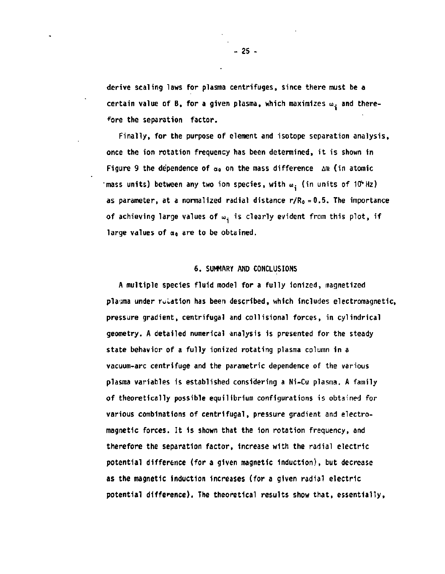**derive scaling laws for plasma centrifuges, since there must be a**  certain value of B, for a given plasma, which maximizes w<sub>i</sub> and there**fore the separation factor.** 

**Finally, for the purpose of element and isotope separation analysis, once the ion rotation frequency has been determined, it is shown in**  Figure 9 the dependence of  $\alpha_0$  on the mass difference  $\Delta m$  (in atomic **mass units) between any two ion species, with**  $\omega_i$  **(in units of 10°Hz) as parameter, at a normalized radial distance r/R<sup>0</sup> =0.5. The importance**  of achieving large values of  $\omega_i$  is clearly evident from this plot, if **large values of a0 are to be obtained.** 

# **6. SUMMARY AND CONCLUSIONS**

**A multiple species fluid model for a fully ionized, magnetized plasma under rotation has been described, which includes electromagnetic, pressure gradient, centrifugal and collisional forces, in cylindrical geometry. A detailed numerical analysis is presented for the steady state behavior of a fully ionized rotating plasma column in a vacuum-arc centrifuge and the parametric dependence of the various plasma variables is established considering a Ni-Cu plasma. A family of theoretically possible equilibrium configurations is obtained for various combinations of centrifugal, pressure gradient and electromagnetic forces. It is shown that the ion rotation frequency, and therefore the separation factor, increase with the radial electric potential difference (for a given magnetic induction), but decrease as the magnetic induction increases (for a given radial electric potential difference). The theoretical results show that, essentially,**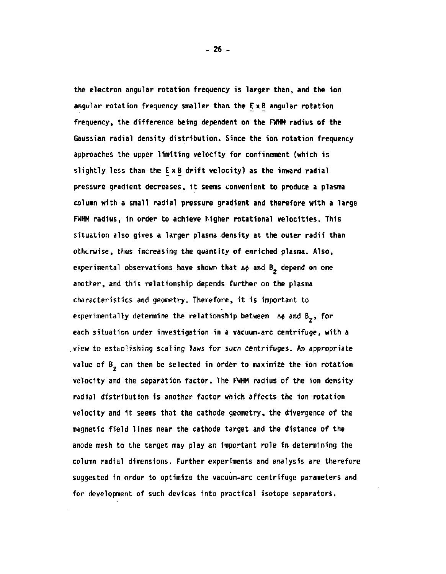**the electron angular rotation frequency is larger than, and the ion angular rotation frequency smaller than the Ex B angular rotation frequency, the difference being dependent on the FWHM radius of the Gaussian radial density distribution. Since the ion rotation frequency approaches the upper limiting velocity for confinement (which is slightly less than the Ex B drift velocity) as the inward radial pressure gradient decreases, it seems convenient to produce a plasma column with a small radial pressure gradient and therefore with a large FWHM radius, in order to achieve higher rotational velocities. This situation also gives a larger plasma density at the outer radii than otherwise, thus increasing the quantity of enriched plasma. Also,**  experimental observations have shown that  $\Delta\phi$  and  $B_{\frac{1}{2}}$  depend on one **another, and this relationship depends further on the plasma characteristics and geometry. Therefore, it is important to**  experimentally determine the relationship between  $A\phi$  and  $B_{\chi}$ , for **each situation under investigation in a vacuum-arc centrifuge, with a view to estaDlishing scaling laws for such centrifuges. An appropriate**  value of B<sub>2</sub> can then be selected in order to maximize the ion rotation **velocity and the separation factor. The FWHM radius of the ion density radial distribution is another factor which affects the ion rotation velocity and it seems that the cathode geometry, the divergence of the magnetic field lines near the cathode target and the distance of the anode mesh to the target may play an important role in determining the column radial dimensions. Further experiments and analysis are therefore suggested in order to optimize the vacuum-arc centrifuge parameters and for development of such devices into practical isotope separators.**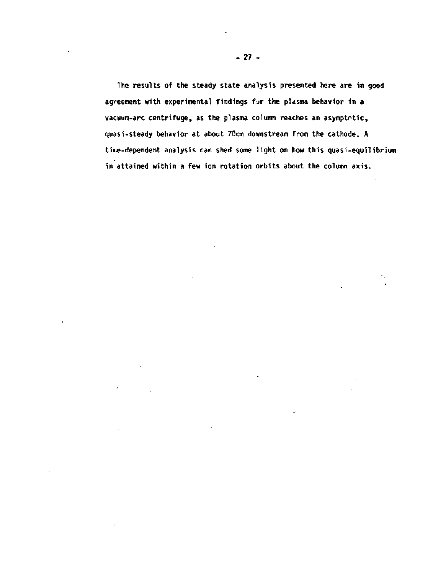**The results of the steady state analysis presented here are in good agreement with experimental findings f jr the plasma behavior in a vacuum-arc centrifuge, as the plasma column reaches an asymptotic, quasi-steady behavior at about 70cm downstream from the cathode. A time-dependent analysis can shed some light on how this quasi-equilibrium in attained within a few ion rotation orbits about the column axis.** 

٠ķ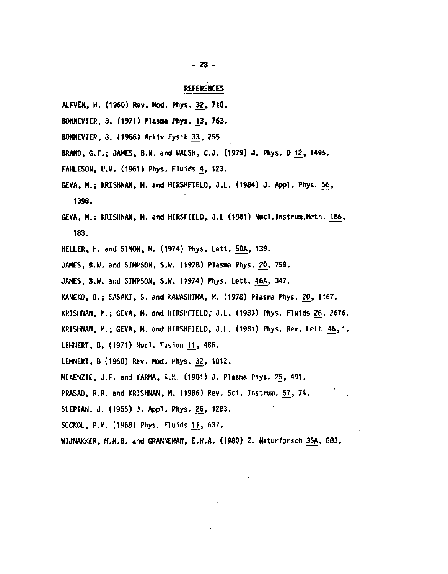# REFERENCES

- ALFVEN, H. (1960) Rev. Mod. Phys. 32, **710.**
- BONNEVIER, B. (1971) Plasma Phys. 13, 763.
- BONNEVIER, B. (1966) Arkiv Fysik 33, 255
- BRAND, G.F.; JAMES, B.W. and WALSH, C.J. (1979) J. Phys. D 12, 1495.
- FAHLESON, U.V. (1961) Phys. Fluids 4, 123.
- GEVA, M.; KRISHNAN, M. and HIRSHFIELD, J.L. **(1984)** J. **Appl.** Phys. 56, 1398.
- GEVA, M.; KRISHNAN, M. and HIRSFIELD, J.L (1981) Nucl.Instrum.Meth. 186, 183.
- HELLER, H. and SIMON, M. (1974) Phys. Lett. 50A, 139.
- JAMES, B.W. and SIMPSON, S.W. (1978) Plasma Phys. 20, 759.
- JAMES, B.W. and SIMPSON, S.W. (1974) Phys. Lett. 46A, 347.
- KANEKO, 0.; SASAKI, S. and KAWASHIMA, M. (1978) Plasma Phys. 20, 1167.
- KRISHNAN, M.; GEVA, M. and HIRSHFIELD,- J.L. (1983) Phys. Fluids 26, 2676.
- KRISHNAN, M.; GEVA, M. and HIRSHFIELD, J.L. (1981) Phys. Rev. Lett. 46,1.
- LEHNERT, B. (1971) Nucl. Fusion 11, 485.
- LEHNERT, B (1960) Rev. Mod. Phys. 32, 1012.
- MCKENZIE, J.F. and VARMA, R.K, (1981) J. Plasma Phys. 25, 491.
- PRASAD, R.R. and KRISHNAN, M. (1986) Rev. Sci. Instrum. 57, 74.
- SLEPIAN, J. (1955) J. Appl. Phys. 26, 1283.
- SOCKOL, P.M. (1968) Phys. Fluids 11, 637.
- WIJNAKKER, M.M.B. and GRANNEMAN, E.H.A. (1980) Z. Naturforsch 35A, 883.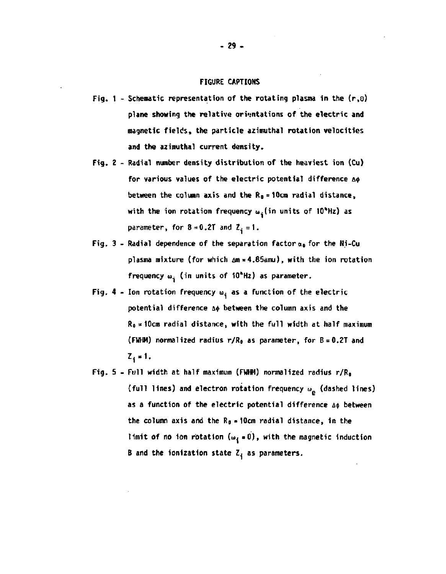#### **FIGURE CAPTIONS**

- **1 Schematic representation of the rotating plasma in the (r,o) plane showing the relative orientations of the electric and magnetic fields, the particle azimuthal rotation velocities and the azimuthal current density.**
- **2 Radial number density distribution of the heaviest ion (Cu)**  for various values of the electric potential difference A<sub>\$</sub> **between the column axis and the R0 = 10cra radial distance, with the ion rotation frequency w.(in units of 10<sup>H</sup>Hz) as**  parameter, for  $B = 0.2T$  and  $Z_i = 1$ .
- **3 Radial dependence of the separation factor a0 for the Ni-Cu plasma mixture (for which Am = 4.85amu), with the ion rotation**  frequency  $\omega_i$  (in units of 10<sup>\*</sup>Hz) as parameter.
- Fig.  $4$  Ion rotation frequency  $\omega_i$  as a function of the electric **potential difference A\$ between the column axis and the Ro=10cm radial distance, with the full width at half maximum (FWHM) normalized radius r/R0 as parameter, for B = 0.2T and**   $Z_1 = 1.$
- **5 Full width at half maximum (FWWI) normalized radius r/R<sup>0</sup> (full lines) and electron rotation frequency u. (dashed lines)**  as a function of the electric potential difference  $\Delta\phi$  between **the column axis and the R0 \* 10cm radial distance, in the limit of no ion rotation (** $\omega_4 = 0$ **)**, with the magnetic induction **B and the ionization state I, as parameters.**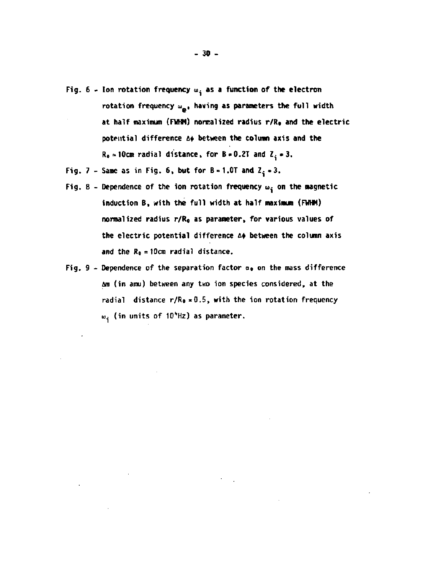- Fig.  $6 -$  Ion rotation frequency  $\omega_3$  as a function of the electron **rotation frequency a, having as parameters the full width at half maximum (FWHM) normalized radius r/R0 and the electric potential difference At between the column axis and the**   $R_0 = 10$ cm radial distance, for  $B = 0.2T$  and  $Z_i = 3$ .
- Fig. 7 Same as in Fig. 6, but for  $B = 1.0T$  and  $Z^2 = 3$ .
- Fig. 8 Dependence of the ion rotation frequency  $\omega_{\textbf{i}}$  on the magnetic induction B, with the full width at half maximum (FWHM) **normalized radius r/R0 as parameter, for various values of the electric potential difference A\$ between the column axis and the R0 =lOcm radial distance.**
- Fig. 9 Dependence of the separation factor  $\alpha$ <sup>0</sup> on the mass difference **Am (in arau) between any two ion species considered, at the radial distance r/Ro=0.5, with the ion rotation frequency o. (in units of lO^Hz) as parameter.**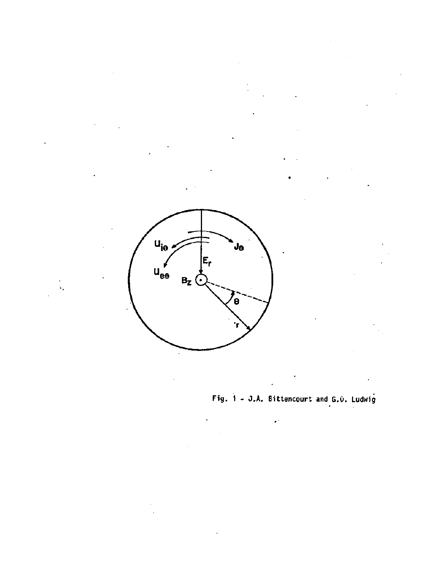![](_page_33_Figure_0.jpeg)

**Fig. 1 - J.A. Bittencourt and G.O. Ludwig** 

**I**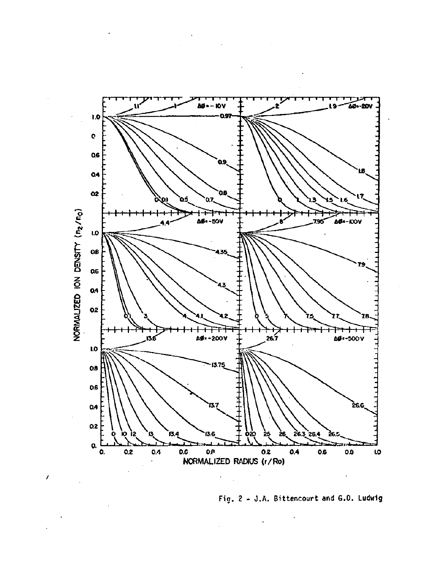![](_page_34_Figure_0.jpeg)

 $\prime$ 

Fig. 2 - J.A. Bittencourt and G.O. Ludwig

ł,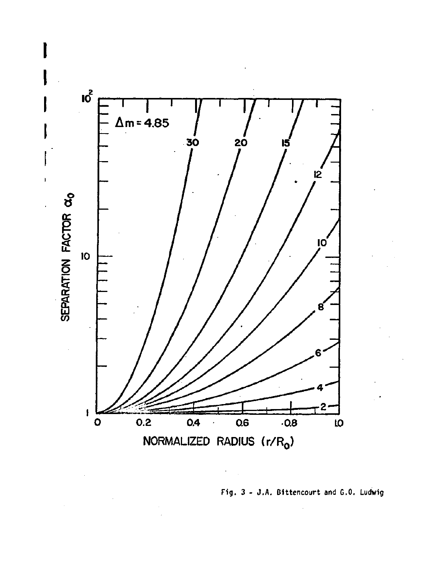![](_page_35_Figure_0.jpeg)

 $\cdot$ 

**Fig. 3 - J.A. Bittencourt and G.O. Ludwig**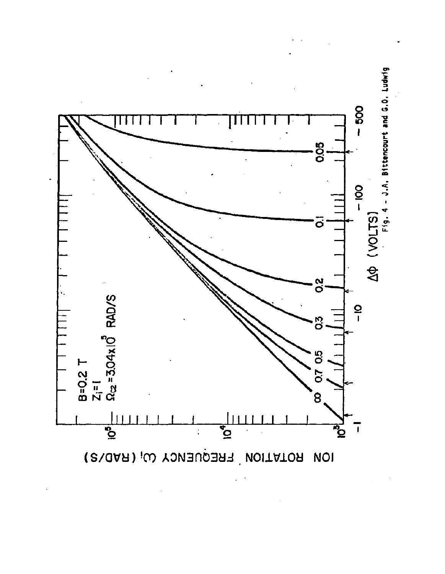![](_page_36_Figure_0.jpeg)

Fig. 4 - J.A. Bittencourt and G.O. Ludwig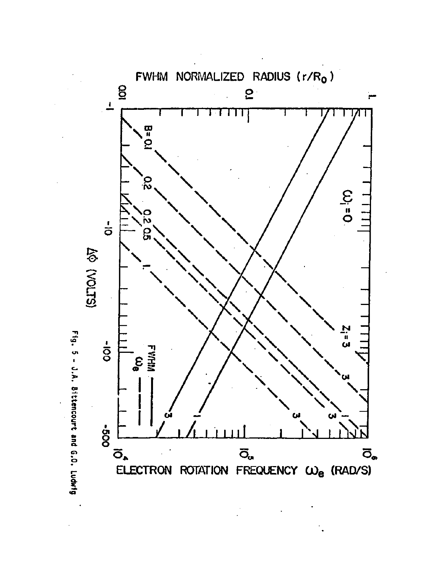![](_page_37_Figure_0.jpeg)

Fig. 5 - J.A. Bittencourt and G.O. Ludwig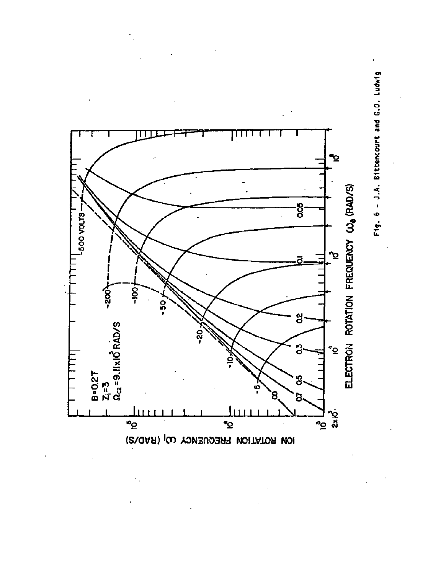![](_page_38_Figure_0.jpeg)

Fig. 6 - J.A. Bittencourt and G.O. Ludwig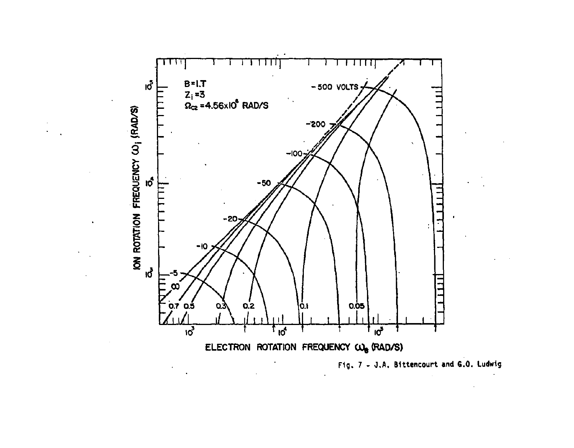![](_page_39_Figure_0.jpeg)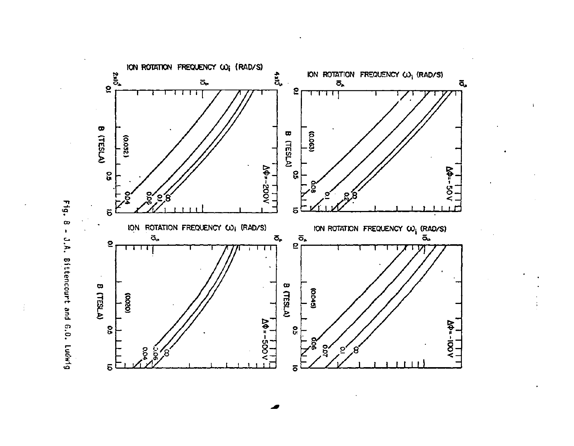![](_page_40_Figure_0.jpeg)

Fig.  $\infty$  $\mathbf{r}$ J.A. Bittencourt and G.O. Ludwig